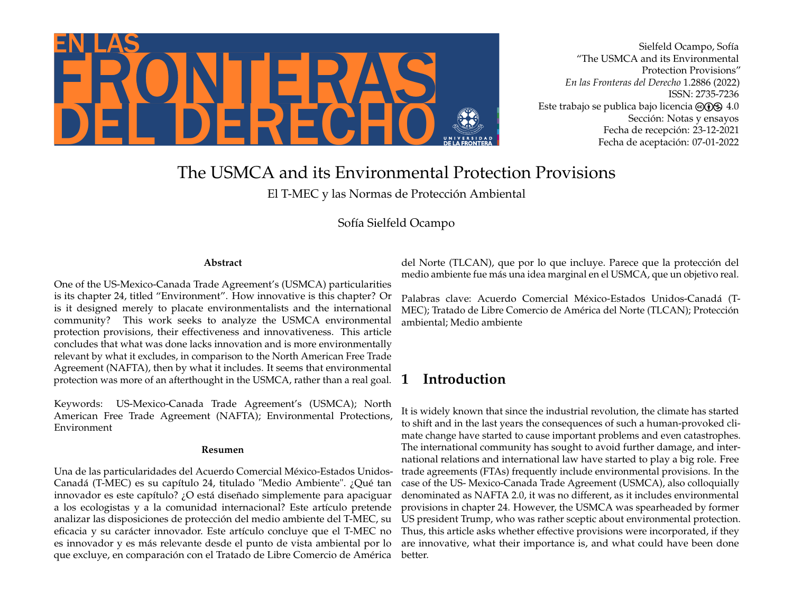

Sielfeld Ocampo, Sofía "The USMCA and its Environmental Protection Provisions" *En las Fronteras del Derecho* 1.2886 (2022) ISSN: 2735-7236 Este trabajo se publica bajo licencia  $\textcircled{\odot} \textcircled{\tiny{\textbf{S}}} 4.0$ Sección: Notas y ensayos Fecha de recepción: 23-12-2021 Fecha de aceptación: 07-01-2022

# The USMCA and its Environmental Protection Provisions

El T-MEC y las Normas de Protección Ambiental

Sofía Sielfeld Ocampo

#### **Abstract**

One of the US-Mexico-Canada Trade Agreement's (USMCA) particularities is its chapter 24, titled "Environment". How innovative is this chapter? Or is it designed merely to placate environmentalists and the international community? This work seeks to analyze the USMCA environmental protection provisions, their effectiveness and innovativeness. This article concludes that what was done lacks innovation and is more environmentally relevant by what it excludes, in comparison to the North American Free Trade Agreement (NAFTA), then by what it includes. It seems that environmental protection was more of an afterthought in the USMCA, rather than a real goal.

Keywords: US-Mexico-Canada Trade Agreement's (USMCA); North American Free Trade Agreement (NAFTA); Environmental Protections, Environment

#### **Resumen**

Una de las particularidades del Acuerdo Comercial México-Estados Unidos-Canadá (T-MEC) es su capítulo 24, titulado "Medio Ambiente". ¿Qué tan innovador es este capítulo? ¿O está diseñado simplemente para apaciguar a los ecologistas y a la comunidad internacional? Este artículo pretende analizar las disposiciones de protección del medio ambiente del T-MEC, su eficacia y su carácter innovador. Este artículo concluye que el T-MEC no es innovador y es más relevante desde el punto de vista ambiental por lo que excluye, en comparación con el Tratado de Libre Comercio de América

del Norte (TLCAN), que por lo que incluye. Parece que la protección del medio ambiente fue más una idea marginal en el USMCA, que un objetivo real.

Palabras clave: Acuerdo Comercial México-Estados Unidos-Canadá (T-MEC); Tratado de Libre Comercio de América del Norte (TLCAN); Protección ambiental; Medio ambiente

### **1 Introduction**

It is widely known that since the industrial revolution, the climate has started to shift and in the last years the consequences of such a human-provoked climate change have started to cause important problems and even catastrophes. The international community has sought to avoid further damage, and international relations and international law have started to play a big role. Free trade agreements (FTAs) frequently include environmental provisions. In the case of the US- Mexico-Canada Trade Agreement (USMCA), also colloquially denominated as NAFTA 2.0, it was no different, as it includes environmental provisions in chapter 24. However, the USMCA was spearheaded by former US president Trump, who was rather sceptic about environmental protection. Thus, this article asks whether effective provisions were incorporated, if they are innovative, what their importance is, and what could have been done better.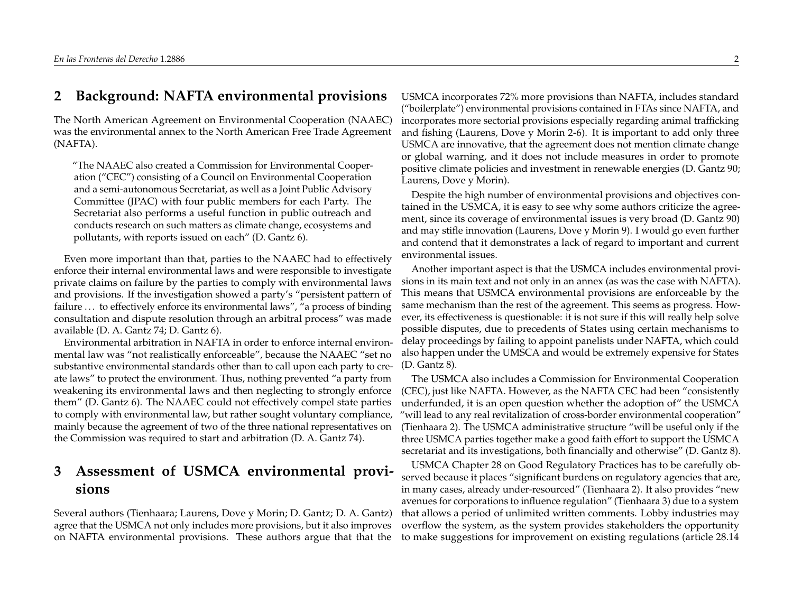#### **2 Background: NAFTA environmental provisions**

The North American Agreement on Environmental Cooperation (NAAEC) was the environmental annex to the North American Free Trade Agreement (NAFTA).

"The NAAEC also created a Commission for Environmental Cooperation ("CEC") consisting of a Council on Environmental Cooperation and a semi-autonomous Secretariat, as well as a Joint Public Advisory Committee (JPAC) with four public members for each Party. The Secretariat also performs a useful function in public outreach and conducts research on such matters as climate change, ecosystems and pollutants, with reports issued on each" (D. Gantz 6).

Even more important than that, parties to the NAAEC had to effectively enforce their internal environmental laws and were responsible to investigate private claims on failure by the parties to comply with environmental laws and provisions. If the investigation showed a party's "persistent pattern of failure ... to effectively enforce its environmental laws", "a process of binding consultation and dispute resolution through an arbitral process" was made available (D. A. Gantz 74; D. Gantz 6).

Environmental arbitration in NAFTA in order to enforce internal environmental law was "not realistically enforceable", because the NAAEC "set no substantive environmental standards other than to call upon each party to create laws" to protect the environment. Thus, nothing prevented "a party from weakening its environmental laws and then neglecting to strongly enforce them" (D. Gantz 6). The NAAEC could not effectively compel state parties to comply with environmental law, but rather sought voluntary compliance, mainly because the agreement of two of the three national representatives on the Commission was required to start and arbitration (D. A. Gantz 74).

## **3 Assessment of USMCA environmental provisions**

Several authors (Tienhaara; Laurens, Dove y Morin; D. Gantz; D. A. Gantz) agree that the USMCA not only includes more provisions, but it also improves on NAFTA environmental provisions. These authors argue that that the

USMCA incorporates 72% more provisions than NAFTA, includes standard ("boilerplate") environmental provisions contained in FTAs since NAFTA, and incorporates more sectorial provisions especially regarding animal trafficking and fishing (Laurens, Dove y Morin 2-6). It is important to add only three USMCA are innovative, that the agreement does not mention climate change or global warning, and it does not include measures in order to promote positive climate policies and investment in renewable energies (D. Gantz 90; Laurens, Dove y Morin).

Despite the high number of environmental provisions and objectives contained in the USMCA, it is easy to see why some authors criticize the agreement, since its coverage of environmental issues is very broad (D. Gantz 90) and may stifle innovation (Laurens, Dove y Morin 9). I would go even further and contend that it demonstrates a lack of regard to important and current environmental issues.

Another important aspect is that the USMCA includes environmental provisions in its main text and not only in an annex (as was the case with NAFTA). This means that USMCA environmental provisions are enforceable by the same mechanism than the rest of the agreement. This seems as progress. However, its effectiveness is questionable: it is not sure if this will really help solve possible disputes, due to precedents of States using certain mechanisms to delay proceedings by failing to appoint panelists under NAFTA, which could also happen under the UMSCA and would be extremely expensive for States (D. Gantz 8).

The USMCA also includes a Commission for Environmental Cooperation (CEC), just like NAFTA. However, as the NAFTA CEC had been "consistently underfunded, it is an open question whether the adoption of" the USMCA "will lead to any real revitalization of cross-border environmental cooperation" (Tienhaara 2). The USMCA administrative structure "will be useful only if the three USMCA parties together make a good faith effort to support the USMCA secretariat and its investigations, both financially and otherwise" (D. Gantz 8).

USMCA Chapter 28 on Good Regulatory Practices has to be carefully observed because it places "significant burdens on regulatory agencies that are, in many cases, already under-resourced" (Tienhaara 2). It also provides "new avenues for corporations to influence regulation" (Tienhaara 3) due to a system that allows a period of unlimited written comments. Lobby industries may overflow the system, as the system provides stakeholders the opportunity to make suggestions for improvement on existing regulations (article 28.14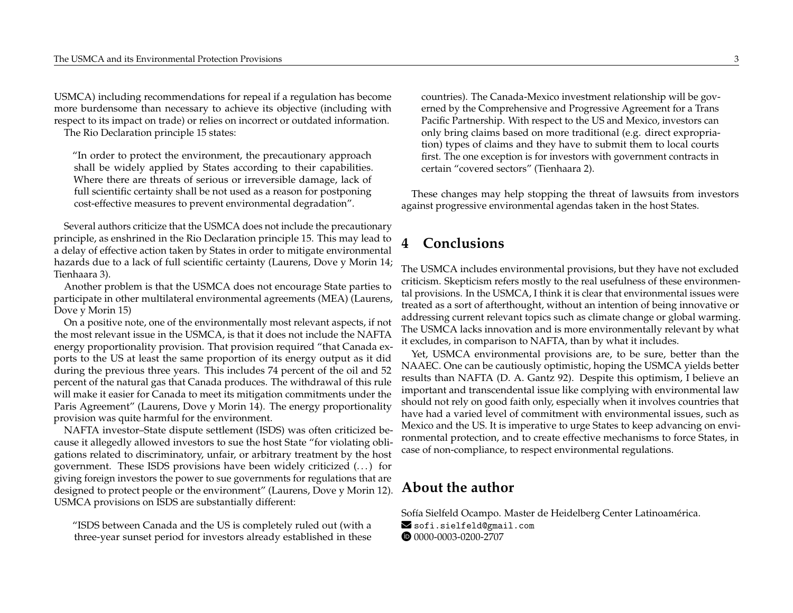USMCA) including recommendations for repeal if a regulation has become more burdensome than necessary to achieve its objective (including with respect to its impact on trade) or relies on incorrect or outdated information.

The Rio Declaration principle 15 states:

"In order to protect the environment, the precautionary approach shall be widely applied by States according to their capabilities. Where there are threats of serious or irreversible damage, lack of full scientific certainty shall be not used as a reason for postponing cost-effective measures to prevent environmental degradation".

Several authors criticize that the USMCA does not include the precautionary principle, as enshrined in the Rio Declaration principle 15. This may lead to a delay of effective action taken by States in order to mitigate environmental hazards due to a lack of full scientific certainty (Laurens, Dove y Morin 14; Tienhaara 3).

Another problem is that the USMCA does not encourage State parties to participate in other multilateral environmental agreements (MEA) (Laurens, Dove y Morin 15)

On a positive note, one of the environmentally most relevant aspects, if not the most relevant issue in the USMCA, is that it does not include the NAFTA energy proportionality provision. That provision required "that Canada exports to the US at least the same proportion of its energy output as it did during the previous three years. This includes 74 percent of the oil and 52 percent of the natural gas that Canada produces. The withdrawal of this rule will make it easier for Canada to meet its mitigation commitments under the Paris Agreement" (Laurens, Dove y Morin 14). The energy proportionality provision was quite harmful for the environment.

NAFTA investor–State dispute settlement (ISDS) was often criticized because it allegedly allowed investors to sue the host State "for violating obligations related to discriminatory, unfair, or arbitrary treatment by the host government. These ISDS provisions have been widely criticized  $(\dots)$  for giving foreign investors the power to sue governments for regulations that are designed to protect people or the environment" (Laurens, Dove y Morin 12). USMCA provisions on ISDS are substantially different:

"ISDS between Canada and the US is completely ruled out (with a three-year sunset period for investors already established in these countries). The Canada-Mexico investment relationship will be governed by the Comprehensive and Progressive Agreement for a Trans Pacific Partnership. With respect to the US and Mexico, investors can only bring claims based on more traditional (e.g. direct expropriation) types of claims and they have to submit them to local courts first. The one exception is for investors with government contracts in certain "covered sectors" (Tienhaara 2).

These changes may help stopping the threat of lawsuits from investors against progressive environmental agendas taken in the host States.

### **4 Conclusions**

The USMCA includes environmental provisions, but they have not excluded criticism. Skepticism refers mostly to the real usefulness of these environmental provisions. In the USMCA, I think it is clear that environmental issues were treated as a sort of afterthought, without an intention of being innovative or addressing current relevant topics such as climate change or global warming. The USMCA lacks innovation and is more environmentally relevant by what it excludes, in comparison to NAFTA, than by what it includes.

Yet, USMCA environmental provisions are, to be sure, better than the NAAEC. One can be cautiously optimistic, hoping the USMCA yields better results than NAFTA (D. A. Gantz 92). Despite this optimism, I believe an important and transcendental issue like complying with environmental law should not rely on good faith only, especially when it involves countries that have had a varied level of commitment with environmental issues, such as Mexico and the US. It is imperative to urge States to keep advancing on environmental protection, and to create effective mechanisms to force States, in case of non-compliance, to respect environmental regulations.

### **About the author**

Sofía Sielfeld Ocampo. Master de Heidelberg Center Latinoamérica.

Sofi.sielfeld@gmail.com 0[0000-0003-0200-2707](https://orcid.org/0000-0003-0200-2707)